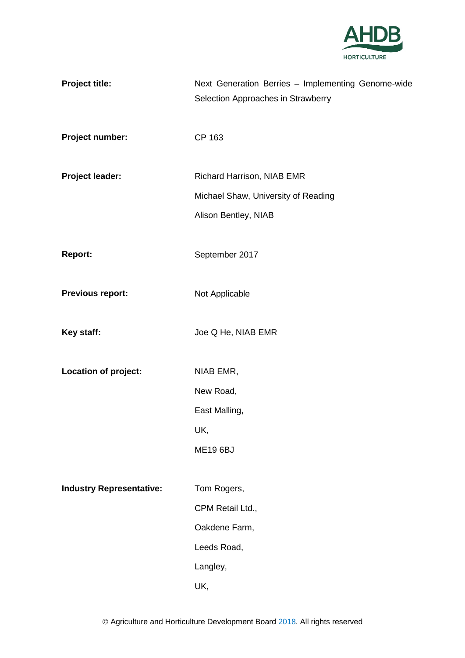

| <b>Project title:</b>           | Next Generation Berries - Implementing Genome-wide<br>Selection Approaches in Strawberry |
|---------------------------------|------------------------------------------------------------------------------------------|
| Project number:                 | CP 163                                                                                   |
| <b>Project leader:</b>          | Richard Harrison, NIAB EMR                                                               |
|                                 | Michael Shaw, University of Reading                                                      |
|                                 | Alison Bentley, NIAB                                                                     |
| Report:                         | September 2017                                                                           |
| <b>Previous report:</b>         | Not Applicable                                                                           |
| Key staff:                      | Joe Q He, NIAB EMR                                                                       |
| Location of project:            | NIAB EMR,                                                                                |
|                                 | New Road,                                                                                |
|                                 | East Malling,                                                                            |
|                                 | UK,                                                                                      |
|                                 | <b>ME19 6BJ</b>                                                                          |
| <b>Industry Representative:</b> | Tom Rogers,                                                                              |
|                                 | CPM Retail Ltd.,                                                                         |
|                                 | Oakdene Farm,                                                                            |
|                                 | Leeds Road,                                                                              |
|                                 | Langley,                                                                                 |
|                                 | UK,                                                                                      |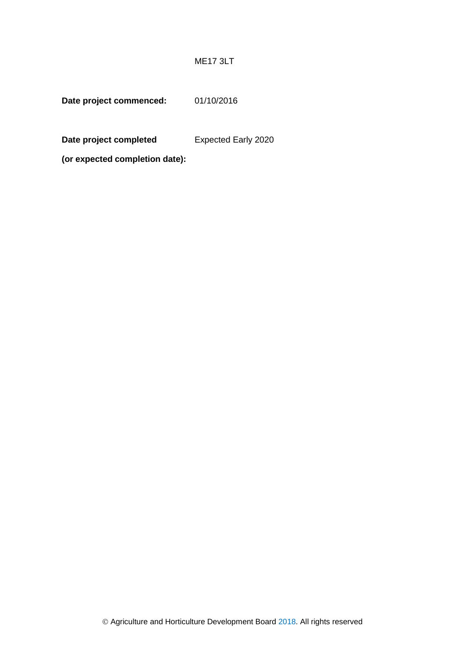### ME17 3LT

**Date project commenced:** 01/10/2016

**Date project completed**  Expected Early 2020

**(or expected completion date):**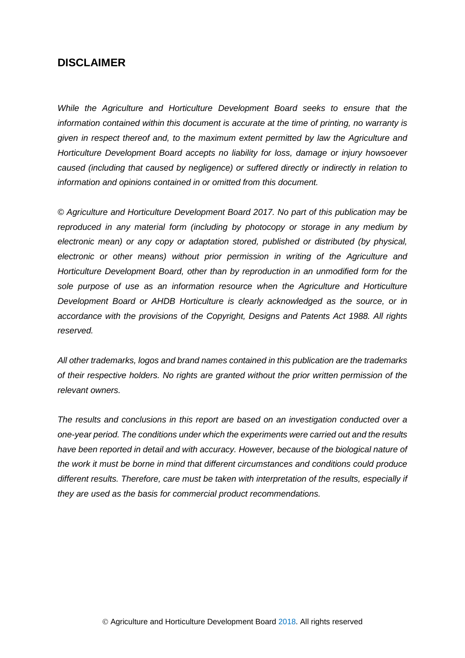# **DISCLAIMER**

*While the Agriculture and Horticulture Development Board seeks to ensure that the information contained within this document is accurate at the time of printing, no warranty is given in respect thereof and, to the maximum extent permitted by law the Agriculture and Horticulture Development Board accepts no liability for loss, damage or injury howsoever caused (including that caused by negligence) or suffered directly or indirectly in relation to information and opinions contained in or omitted from this document.* 

*© Agriculture and Horticulture Development Board 2017. No part of this publication may be reproduced in any material form (including by photocopy or storage in any medium by electronic mean) or any copy or adaptation stored, published or distributed (by physical, electronic or other means) without prior permission in writing of the Agriculture and Horticulture Development Board, other than by reproduction in an unmodified form for the sole purpose of use as an information resource when the Agriculture and Horticulture Development Board or AHDB Horticulture is clearly acknowledged as the source, or in accordance with the provisions of the Copyright, Designs and Patents Act 1988. All rights reserved.*

*All other trademarks, logos and brand names contained in this publication are the trademarks of their respective holders. No rights are granted without the prior written permission of the relevant owners.* 

*The results and conclusions in this report are based on an investigation conducted over a one-year period. The conditions under which the experiments were carried out and the results*  have been reported in detail and with accuracy. However, because of the biological nature of *the work it must be borne in mind that different circumstances and conditions could produce different results. Therefore, care must be taken with interpretation of the results, especially if they are used as the basis for commercial product recommendations.*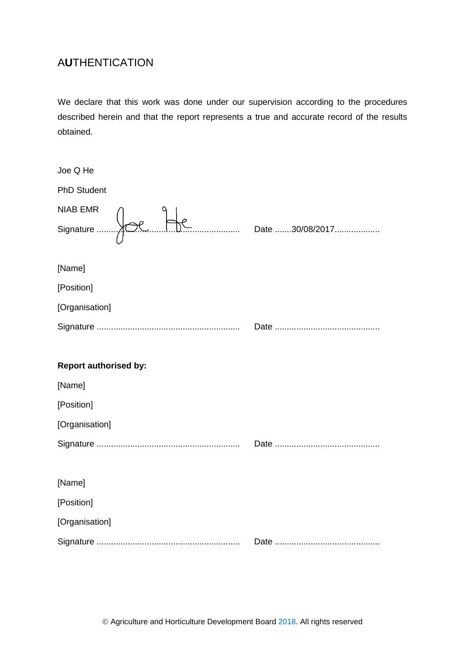# A**U**THENTICATION

We declare that this work was done under our supervision according to the procedures described herein and that the report represents a true and accurate record of the results obtained.

| Joe Q He                     |  |
|------------------------------|--|
| <b>PhD Student</b>           |  |
| NIAB EMR                     |  |
|                              |  |
| [Name]                       |  |
| [Position]                   |  |
| [Organisation]               |  |
|                              |  |
|                              |  |
|                              |  |
| <b>Report authorised by:</b> |  |
| [Name]                       |  |
| [Position]                   |  |
| [Organisation]               |  |
|                              |  |
|                              |  |
| [Name]                       |  |
| [Position]                   |  |
| [Organisation]               |  |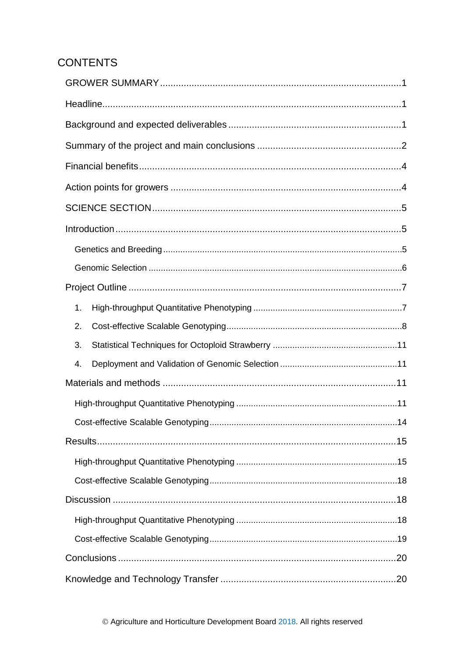# **CONTENTS**

| 1. |  |
|----|--|
| 2. |  |
| 3. |  |
| 4. |  |
|    |  |
|    |  |
|    |  |
|    |  |
|    |  |
|    |  |
|    |  |
|    |  |
|    |  |
|    |  |
|    |  |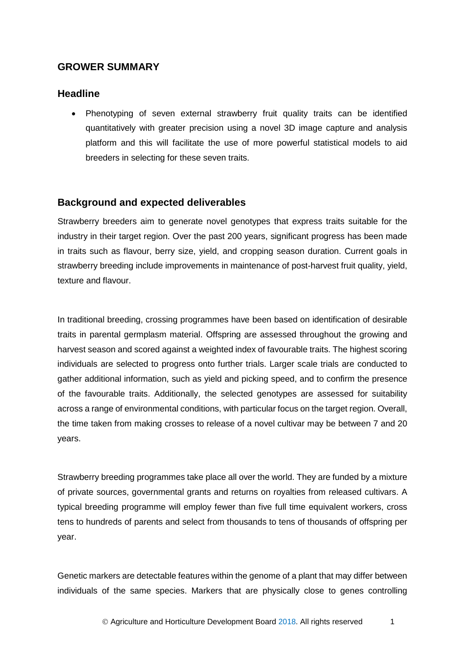### <span id="page-6-0"></span>**GROWER SUMMARY**

### <span id="page-6-1"></span>**Headline**

Phenotyping of seven external strawberry fruit quality traits can be identified quantitatively with greater precision using a novel 3D image capture and analysis platform and this will facilitate the use of more powerful statistical models to aid breeders in selecting for these seven traits.

### <span id="page-6-2"></span>**Background and expected deliverables**

Strawberry breeders aim to generate novel genotypes that express traits suitable for the industry in their target region. Over the past 200 years, significant progress has been made in traits such as flavour, berry size, yield, and cropping season duration. Current goals in strawberry breeding include improvements in maintenance of post-harvest fruit quality, yield, texture and flavour.

In traditional breeding, crossing programmes have been based on identification of desirable traits in parental germplasm material. Offspring are assessed throughout the growing and harvest season and scored against a weighted index of favourable traits. The highest scoring individuals are selected to progress onto further trials. Larger scale trials are conducted to gather additional information, such as yield and picking speed, and to confirm the presence of the favourable traits. Additionally, the selected genotypes are assessed for suitability across a range of environmental conditions, with particular focus on the target region. Overall, the time taken from making crosses to release of a novel cultivar may be between 7 and 20 years.

Strawberry breeding programmes take place all over the world. They are funded by a mixture of private sources, governmental grants and returns on royalties from released cultivars. A typical breeding programme will employ fewer than five full time equivalent workers, cross tens to hundreds of parents and select from thousands to tens of thousands of offspring per year.

Genetic markers are detectable features within the genome of a plant that may differ between individuals of the same species. Markers that are physically close to genes controlling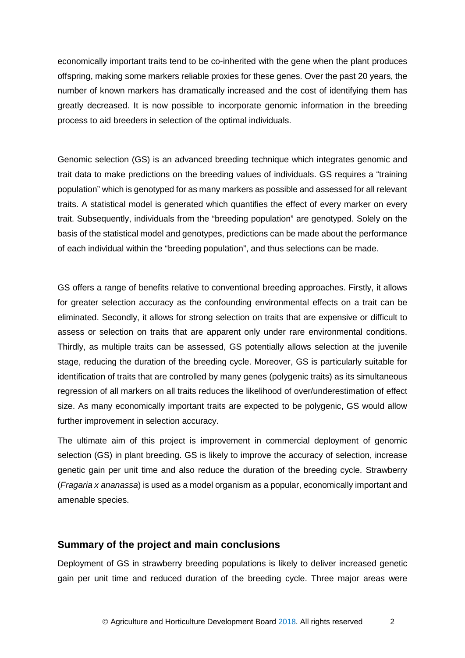economically important traits tend to be co-inherited with the gene when the plant produces offspring, making some markers reliable proxies for these genes. Over the past 20 years, the number of known markers has dramatically increased and the cost of identifying them has greatly decreased. It is now possible to incorporate genomic information in the breeding process to aid breeders in selection of the optimal individuals.

Genomic selection (GS) is an advanced breeding technique which integrates genomic and trait data to make predictions on the breeding values of individuals. GS requires a "training population" which is genotyped for as many markers as possible and assessed for all relevant traits. A statistical model is generated which quantifies the effect of every marker on every trait. Subsequently, individuals from the "breeding population" are genotyped. Solely on the basis of the statistical model and genotypes, predictions can be made about the performance of each individual within the "breeding population", and thus selections can be made.

GS offers a range of benefits relative to conventional breeding approaches. Firstly, it allows for greater selection accuracy as the confounding environmental effects on a trait can be eliminated. Secondly, it allows for strong selection on traits that are expensive or difficult to assess or selection on traits that are apparent only under rare environmental conditions. Thirdly, as multiple traits can be assessed, GS potentially allows selection at the juvenile stage, reducing the duration of the breeding cycle. Moreover, GS is particularly suitable for identification of traits that are controlled by many genes (polygenic traits) as its simultaneous regression of all markers on all traits reduces the likelihood of over/underestimation of effect size. As many economically important traits are expected to be polygenic, GS would allow further improvement in selection accuracy.

The ultimate aim of this project is improvement in commercial deployment of genomic selection (GS) in plant breeding. GS is likely to improve the accuracy of selection, increase genetic gain per unit time and also reduce the duration of the breeding cycle. Strawberry (*Fragaria x ananassa*) is used as a model organism as a popular, economically important and amenable species.

#### <span id="page-7-0"></span>**Summary of the project and main conclusions**

Deployment of GS in strawberry breeding populations is likely to deliver increased genetic gain per unit time and reduced duration of the breeding cycle. Three major areas were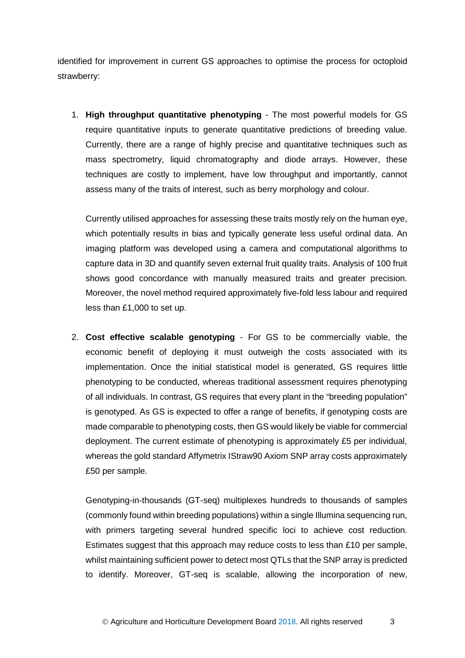identified for improvement in current GS approaches to optimise the process for octoploid strawberry:

1. **High throughput quantitative phenotyping** - The most powerful models for GS require quantitative inputs to generate quantitative predictions of breeding value. Currently, there are a range of highly precise and quantitative techniques such as mass spectrometry, liquid chromatography and diode arrays. However, these techniques are costly to implement, have low throughput and importantly, cannot assess many of the traits of interest, such as berry morphology and colour.

Currently utilised approaches for assessing these traits mostly rely on the human eye, which potentially results in bias and typically generate less useful ordinal data. An imaging platform was developed using a camera and computational algorithms to capture data in 3D and quantify seven external fruit quality traits. Analysis of 100 fruit shows good concordance with manually measured traits and greater precision. Moreover, the novel method required approximately five-fold less labour and required less than £1,000 to set up.

2. **Cost effective scalable genotyping** - For GS to be commercially viable, the economic benefit of deploying it must outweigh the costs associated with its implementation. Once the initial statistical model is generated, GS requires little phenotyping to be conducted, whereas traditional assessment requires phenotyping of all individuals. In contrast, GS requires that every plant in the "breeding population" is genotyped. As GS is expected to offer a range of benefits, if genotyping costs are made comparable to phenotyping costs, then GS would likely be viable for commercial deployment. The current estimate of phenotyping is approximately £5 per individual, whereas the gold standard Affymetrix IStraw90 Axiom SNP array costs approximately £50 per sample.

Genotyping-in-thousands (GT-seq) multiplexes hundreds to thousands of samples (commonly found within breeding populations) within a single Illumina sequencing run, with primers targeting several hundred specific loci to achieve cost reduction. Estimates suggest that this approach may reduce costs to less than £10 per sample, whilst maintaining sufficient power to detect most QTLs that the SNP array is predicted to identify. Moreover, GT-seq is scalable, allowing the incorporation of new,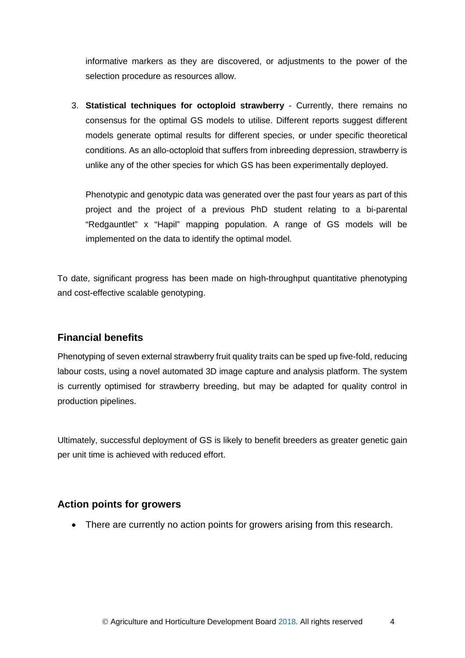informative markers as they are discovered, or adjustments to the power of the selection procedure as resources allow.

3. **Statistical techniques for octoploid strawberry** - Currently, there remains no consensus for the optimal GS models to utilise. Different reports suggest different models generate optimal results for different species, or under specific theoretical conditions. As an allo-octoploid that suffers from inbreeding depression, strawberry is unlike any of the other species for which GS has been experimentally deployed.

Phenotypic and genotypic data was generated over the past four years as part of this project and the project of a previous PhD student relating to a bi-parental "Redgauntlet" x "Hapil" mapping population. A range of GS models will be implemented on the data to identify the optimal model.

To date, significant progress has been made on high-throughput quantitative phenotyping and cost-effective scalable genotyping.

# <span id="page-9-0"></span>**Financial benefits**

Phenotyping of seven external strawberry fruit quality traits can be sped up five-fold, reducing labour costs, using a novel automated 3D image capture and analysis platform. The system is currently optimised for strawberry breeding, but may be adapted for quality control in production pipelines.

Ultimately, successful deployment of GS is likely to benefit breeders as greater genetic gain per unit time is achieved with reduced effort.

# <span id="page-9-1"></span>**Action points for growers**

• There are currently no action points for growers arising from this research.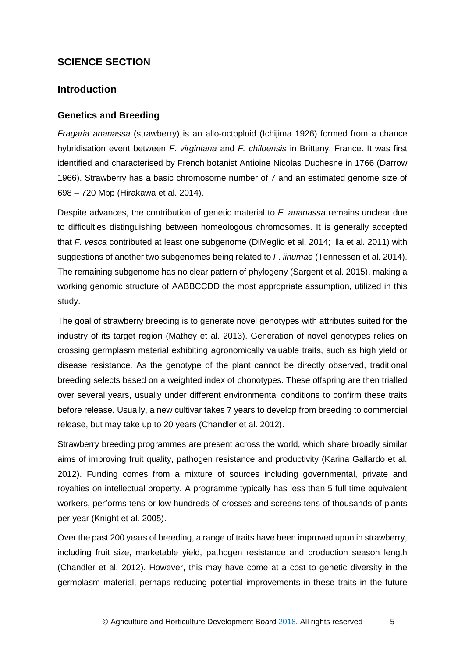# <span id="page-10-0"></span>**SCIENCE SECTION**

### <span id="page-10-1"></span>**Introduction**

#### <span id="page-10-2"></span>**Genetics and Breeding**

*Fragaria ananassa* (strawberry) is an allo-octoploid (Ichijima 1926) formed from a chance hybridisation event between *F. virginiana* and *F. chiloensis* in Brittany, France. It was first identified and characterised by French botanist Antioine Nicolas Duchesne in 1766 (Darrow 1966). Strawberry has a basic chromosome number of 7 and an estimated genome size of 698 – 720 Mbp (Hirakawa et al. 2014).

Despite advances, the contribution of genetic material to *F. ananassa* remains unclear due to difficulties distinguishing between homeologous chromosomes. It is generally accepted that *F. vesca* contributed at least one subgenome (DiMeglio et al. 2014; Illa et al. 2011) with suggestions of another two subgenomes being related to *F. iinumae* (Tennessen et al. 2014). The remaining subgenome has no clear pattern of phylogeny (Sargent et al. 2015), making a working genomic structure of AABBCCDD the most appropriate assumption, utilized in this study.

The goal of strawberry breeding is to generate novel genotypes with attributes suited for the industry of its target region (Mathey et al. 2013). Generation of novel genotypes relies on crossing germplasm material exhibiting agronomically valuable traits, such as high yield or disease resistance. As the genotype of the plant cannot be directly observed, traditional breeding selects based on a weighted index of phonotypes. These offspring are then trialled over several years, usually under different environmental conditions to confirm these traits before release. Usually, a new cultivar takes 7 years to develop from breeding to commercial release, but may take up to 20 years (Chandler et al. 2012).

Strawberry breeding programmes are present across the world, which share broadly similar aims of improving fruit quality, pathogen resistance and productivity (Karina Gallardo et al. 2012). Funding comes from a mixture of sources including governmental, private and royalties on intellectual property. A programme typically has less than 5 full time equivalent workers, performs tens or low hundreds of crosses and screens tens of thousands of plants per year (Knight et al. 2005).

Over the past 200 years of breeding, a range of traits have been improved upon in strawberry, including fruit size, marketable yield, pathogen resistance and production season length (Chandler et al. 2012). However, this may have come at a cost to genetic diversity in the germplasm material, perhaps reducing potential improvements in these traits in the future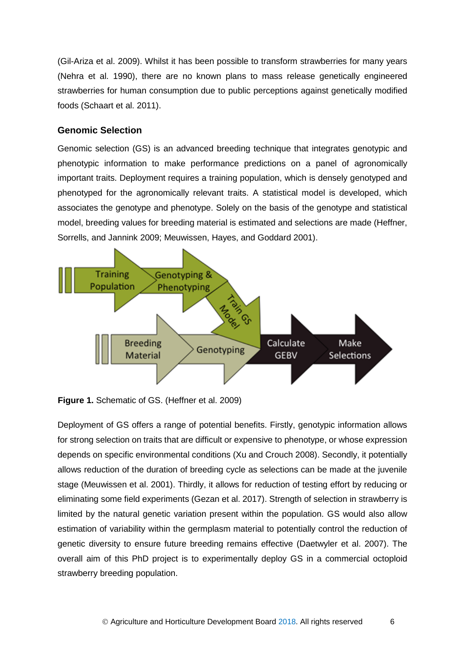(Gil-Ariza et al. 2009). Whilst it has been possible to transform strawberries for many years (Nehra et al. 1990), there are no known plans to mass release genetically engineered strawberries for human consumption due to public perceptions against genetically modified foods (Schaart et al. 2011).

#### <span id="page-11-0"></span>**Genomic Selection**

Genomic selection (GS) is an advanced breeding technique that integrates genotypic and phenotypic information to make performance predictions on a panel of agronomically important traits. Deployment requires a training population, which is densely genotyped and phenotyped for the agronomically relevant traits. A statistical model is developed, which associates the genotype and phenotype. Solely on the basis of the genotype and statistical model, breeding values for breeding material is estimated and selections are made (Heffner, Sorrells, and Jannink 2009; Meuwissen, Hayes, and Goddard 2001).



**Figure 1.** Schematic of GS. (Heffner et al. 2009)

Deployment of GS offers a range of potential benefits. Firstly, genotypic information allows for strong selection on traits that are difficult or expensive to phenotype, or whose expression depends on specific environmental conditions (Xu and Crouch 2008). Secondly, it potentially allows reduction of the duration of breeding cycle as selections can be made at the juvenile stage (Meuwissen et al. 2001). Thirdly, it allows for reduction of testing effort by reducing or eliminating some field experiments (Gezan et al. 2017). Strength of selection in strawberry is limited by the natural genetic variation present within the population. GS would also allow estimation of variability within the germplasm material to potentially control the reduction of genetic diversity to ensure future breeding remains effective (Daetwyler et al. 2007). The overall aim of this PhD project is to experimentally deploy GS in a commercial octoploid strawberry breeding population.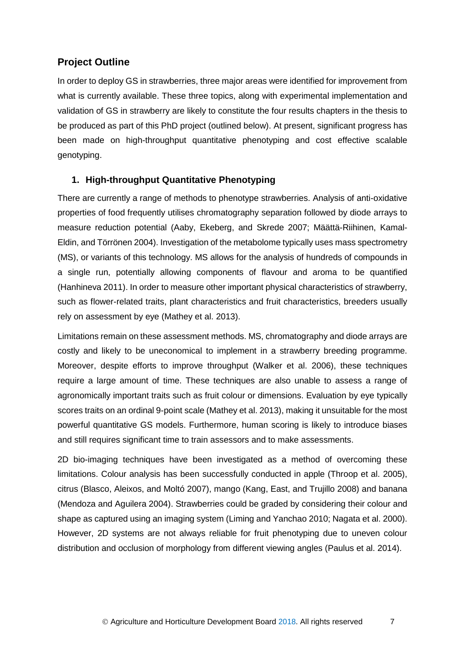# <span id="page-12-0"></span>**Project Outline**

In order to deploy GS in strawberries, three major areas were identified for improvement from what is currently available. These three topics, along with experimental implementation and validation of GS in strawberry are likely to constitute the four results chapters in the thesis to be produced as part of this PhD project (outlined below). At present, significant progress has been made on high-throughput quantitative phenotyping and cost effective scalable genotyping.

### <span id="page-12-1"></span>**1. High-throughput Quantitative Phenotyping**

There are currently a range of methods to phenotype strawberries. Analysis of anti-oxidative properties of food frequently utilises chromatography separation followed by diode arrays to measure reduction potential (Aaby, Ekeberg, and Skrede 2007; Määttä-Riihinen, Kamal-Eldin, and Törrönen 2004). Investigation of the metabolome typically uses mass spectrometry (MS), or variants of this technology. MS allows for the analysis of hundreds of compounds in a single run, potentially allowing components of flavour and aroma to be quantified (Hanhineva 2011). In order to measure other important physical characteristics of strawberry, such as flower-related traits, plant characteristics and fruit characteristics, breeders usually rely on assessment by eye (Mathey et al. 2013).

Limitations remain on these assessment methods. MS, chromatography and diode arrays are costly and likely to be uneconomical to implement in a strawberry breeding programme. Moreover, despite efforts to improve throughput (Walker et al. 2006), these techniques require a large amount of time. These techniques are also unable to assess a range of agronomically important traits such as fruit colour or dimensions. Evaluation by eye typically scores traits on an ordinal 9-point scale (Mathey et al. 2013), making it unsuitable for the most powerful quantitative GS models. Furthermore, human scoring is likely to introduce biases and still requires significant time to train assessors and to make assessments.

2D bio-imaging techniques have been investigated as a method of overcoming these limitations. Colour analysis has been successfully conducted in apple (Throop et al. 2005), citrus (Blasco, Aleixos, and Moltó 2007), mango (Kang, East, and Trujillo 2008) and banana (Mendoza and Aguilera 2004). Strawberries could be graded by considering their colour and shape as captured using an imaging system (Liming and Yanchao 2010; Nagata et al. 2000). However, 2D systems are not always reliable for fruit phenotyping due to uneven colour distribution and occlusion of morphology from different viewing angles (Paulus et al. 2014).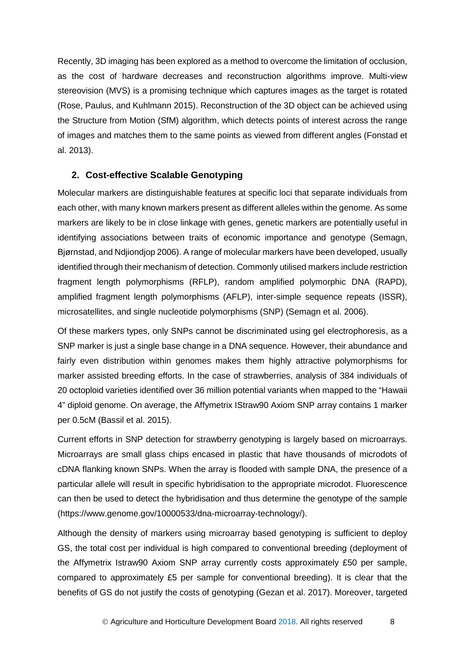Recently, 3D imaging has been explored as a method to overcome the limitation of occlusion, as the cost of hardware decreases and reconstruction algorithms improve. Multi-view stereovision (MVS) is a promising technique which captures images as the target is rotated (Rose, Paulus, and Kuhlmann 2015). Reconstruction of the 3D object can be achieved using the Structure from Motion (SfM) algorithm, which detects points of interest across the range of images and matches them to the same points as viewed from different angles (Fonstad et al. 2013).

#### <span id="page-13-0"></span>**2. Cost-effective Scalable Genotyping**

Molecular markers are distinguishable features at specific loci that separate individuals from each other, with many known markers present as different alleles within the genome. As some markers are likely to be in close linkage with genes, genetic markers are potentially useful in identifying associations between traits of economic importance and genotype (Semagn, Bjørnstad, and Ndjiondjop 2006). A range of molecular markers have been developed, usually identified through their mechanism of detection. Commonly utilised markers include restriction fragment length polymorphisms (RFLP), random amplified polymorphic DNA (RAPD), amplified fragment length polymorphisms (AFLP), inter-simple sequence repeats (ISSR), microsatellites, and single nucleotide polymorphisms (SNP) (Semagn et al. 2006).

Of these markers types, only SNPs cannot be discriminated using gel electrophoresis, as a SNP marker is just a single base change in a DNA sequence. However, their abundance and fairly even distribution within genomes makes them highly attractive polymorphisms for marker assisted breeding efforts. In the case of strawberries, analysis of 384 individuals of 20 octoploid varieties identified over 36 million potential variants when mapped to the "Hawaii 4" diploid genome. On average, the Affymetrix IStraw90 Axiom SNP array contains 1 marker per 0.5cM (Bassil et al. 2015).

Current efforts in SNP detection for strawberry genotyping is largely based on microarrays. Microarrays are small glass chips encased in plastic that have thousands of microdots of cDNA flanking known SNPs. When the array is flooded with sample DNA, the presence of a particular allele will result in specific hybridisation to the appropriate microdot. Fluorescence can then be used to detect the hybridisation and thus determine the genotype of the sample (https://www.genome.gov/10000533/dna-microarray-technology/).

Although the density of markers using microarray based genotyping is sufficient to deploy GS, the total cost per individual is high compared to conventional breeding (deployment of the Affymetrix Istraw90 Axiom SNP array currently costs approximately £50 per sample, compared to approximately £5 per sample for conventional breeding). It is clear that the benefits of GS do not justify the costs of genotyping (Gezan et al. 2017). Moreover, targeted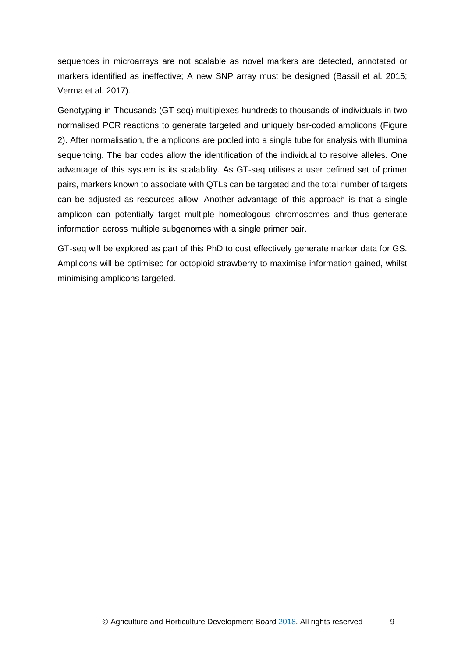sequences in microarrays are not scalable as novel markers are detected, annotated or markers identified as ineffective; A new SNP array must be designed (Bassil et al. 2015; Verma et al. 2017).

Genotyping-in-Thousands (GT-seq) multiplexes hundreds to thousands of individuals in two normalised PCR reactions to generate targeted and uniquely bar-coded amplicons (Figure 2). After normalisation, the amplicons are pooled into a single tube for analysis with Illumina sequencing. The bar codes allow the identification of the individual to resolve alleles. One advantage of this system is its scalability. As GT-seq utilises a user defined set of primer pairs, markers known to associate with QTLs can be targeted and the total number of targets can be adjusted as resources allow. Another advantage of this approach is that a single amplicon can potentially target multiple homeologous chromosomes and thus generate information across multiple subgenomes with a single primer pair.

GT-seq will be explored as part of this PhD to cost effectively generate marker data for GS. Amplicons will be optimised for octoploid strawberry to maximise information gained, whilst minimising amplicons targeted.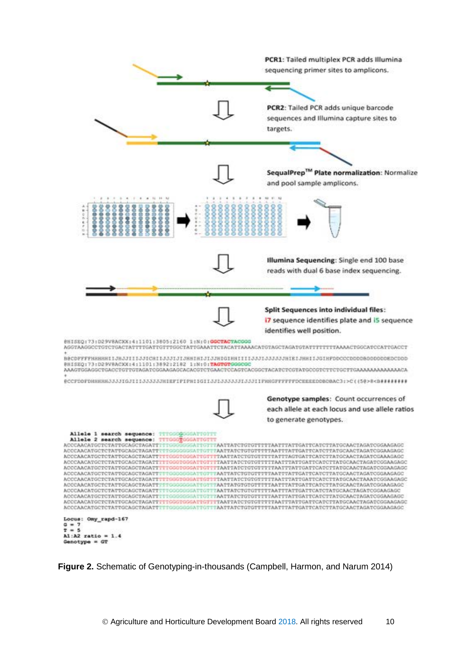

**Figure 2.** Schematic of Genotyping-in-thousands (Campbell, Harmon, and Narum 2014)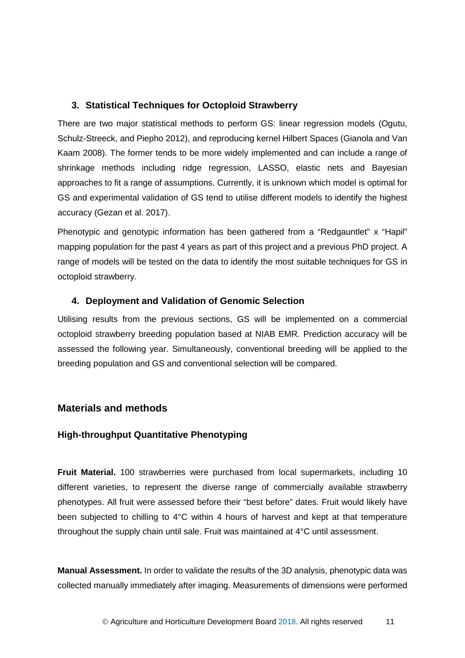### <span id="page-16-0"></span>**3. Statistical Techniques for Octoploid Strawberry**

There are two major statistical methods to perform GS: linear regression models (Ogutu, Schulz-Streeck, and Piepho 2012), and reproducing kernel Hilbert Spaces (Gianola and Van Kaam 2008). The former tends to be more widely implemented and can include a range of shrinkage methods including ridge regression, LASSO, elastic nets and Bayesian approaches to fit a range of assumptions. Currently, it is unknown which model is optimal for GS and experimental validation of GS tend to utilise different models to identify the highest accuracy (Gezan et al. 2017).

Phenotypic and genotypic information has been gathered from a "Redgauntlet" x "Hapil" mapping population for the past 4 years as part of this project and a previous PhD project. A range of models will be tested on the data to identify the most suitable techniques for GS in octoploid strawberry.

### <span id="page-16-1"></span>**4. Deployment and Validation of Genomic Selection**

Utilising results from the previous sections, GS will be implemented on a commercial octoploid strawberry breeding population based at NIAB EMR. Prediction accuracy will be assessed the following year. Simultaneously, conventional breeding will be applied to the breeding population and GS and conventional selection will be compared.

# <span id="page-16-2"></span>**Materials and methods**

# <span id="page-16-3"></span>**High-throughput Quantitative Phenotyping**

**Fruit Material.** 100 strawberries were purchased from local supermarkets, including 10 different varieties, to represent the diverse range of commercially available strawberry phenotypes. All fruit were assessed before their "best before" dates. Fruit would likely have been subjected to chilling to 4°C within 4 hours of harvest and kept at that temperature throughout the supply chain until sale. Fruit was maintained at 4°C until assessment.

**Manual Assessment.** In order to validate the results of the 3D analysis, phenotypic data was collected manually immediately after imaging. Measurements of dimensions were performed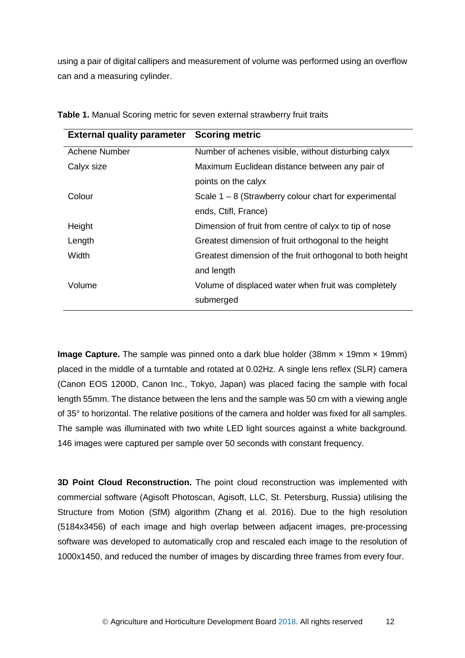using a pair of digital callipers and measurement of volume was performed using an overflow can and a measuring cylinder.

| <b>External quality parameter</b> | <b>Scoring metric</b>                                     |
|-----------------------------------|-----------------------------------------------------------|
| <b>Achene Number</b>              | Number of achenes visible, without disturbing calyx       |
| Calyx size                        | Maximum Euclidean distance between any pair of            |
|                                   | points on the calyx                                       |
| Colour                            | Scale $1 - 8$ (Strawberry colour chart for experimental   |
|                                   | ends, Ctifl, France)                                      |
| Height                            | Dimension of fruit from centre of calyx to tip of nose    |
| Length                            | Greatest dimension of fruit orthogonal to the height      |
| Width                             | Greatest dimension of the fruit orthogonal to both height |
|                                   | and length                                                |
| Volume                            | Volume of displaced water when fruit was completely       |
|                                   | submerged                                                 |
|                                   |                                                           |

**Table 1.** Manual Scoring metric for seven external strawberry fruit traits

**Image Capture.** The sample was pinned onto a dark blue holder (38mm x 19mm x 19mm) placed in the middle of a turntable and rotated at 0.02Hz. A single lens reflex (SLR) camera (Canon EOS 1200D, Canon Inc., Tokyo, Japan) was placed facing the sample with focal length 55mm. The distance between the lens and the sample was 50 cm with a viewing angle of 35° to horizontal. The relative positions of the camera and holder was fixed for all samples. The sample was illuminated with two white LED light sources against a white background. 146 images were captured per sample over 50 seconds with constant frequency.

**3D Point Cloud Reconstruction.** The point cloud reconstruction was implemented with commercial software (Agisoft Photoscan, Agisoft, LLC, St. Petersburg, Russia) utilising the Structure from Motion (SfM) algorithm (Zhang et al. 2016). Due to the high resolution (5184x3456) of each image and high overlap between adjacent images, pre-processing software was developed to automatically crop and rescaled each image to the resolution of 1000x1450, and reduced the number of images by discarding three frames from every four.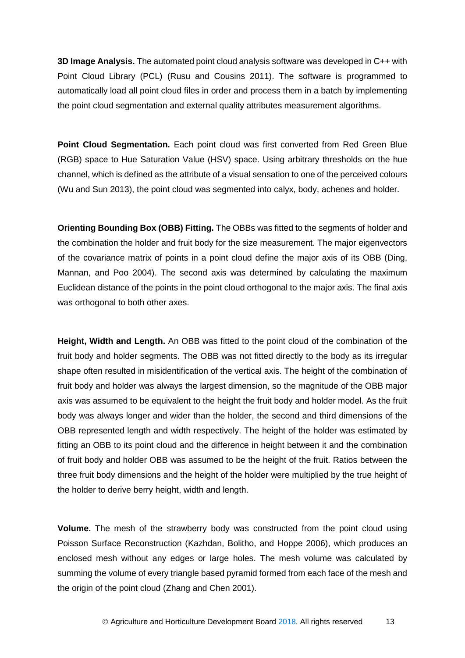**3D Image Analysis.** The automated point cloud analysis software was developed in C++ with Point Cloud Library (PCL) (Rusu and Cousins 2011). The software is programmed to automatically load all point cloud files in order and process them in a batch by implementing the point cloud segmentation and external quality attributes measurement algorithms.

**Point Cloud Segmentation.** Each point cloud was first converted from Red Green Blue (RGB) space to Hue Saturation Value (HSV) space. Using arbitrary thresholds on the hue channel, which is defined as the attribute of a visual sensation to one of the perceived colours (Wu and Sun 2013), the point cloud was segmented into calyx, body, achenes and holder.

**Orienting Bounding Box (OBB) Fitting.** The OBBs was fitted to the segments of holder and the combination the holder and fruit body for the size measurement. The major eigenvectors of the covariance matrix of points in a point cloud define the major axis of its OBB (Ding, Mannan, and Poo 2004). The second axis was determined by calculating the maximum Euclidean distance of the points in the point cloud orthogonal to the major axis. The final axis was orthogonal to both other axes.

**Height, Width and Length.** An OBB was fitted to the point cloud of the combination of the fruit body and holder segments. The OBB was not fitted directly to the body as its irregular shape often resulted in misidentification of the vertical axis. The height of the combination of fruit body and holder was always the largest dimension, so the magnitude of the OBB major axis was assumed to be equivalent to the height the fruit body and holder model. As the fruit body was always longer and wider than the holder, the second and third dimensions of the OBB represented length and width respectively. The height of the holder was estimated by fitting an OBB to its point cloud and the difference in height between it and the combination of fruit body and holder OBB was assumed to be the height of the fruit. Ratios between the three fruit body dimensions and the height of the holder were multiplied by the true height of the holder to derive berry height, width and length.

**Volume.** The mesh of the strawberry body was constructed from the point cloud using Poisson Surface Reconstruction (Kazhdan, Bolitho, and Hoppe 2006), which produces an enclosed mesh without any edges or large holes. The mesh volume was calculated by summing the volume of every triangle based pyramid formed from each face of the mesh and the origin of the point cloud (Zhang and Chen 2001).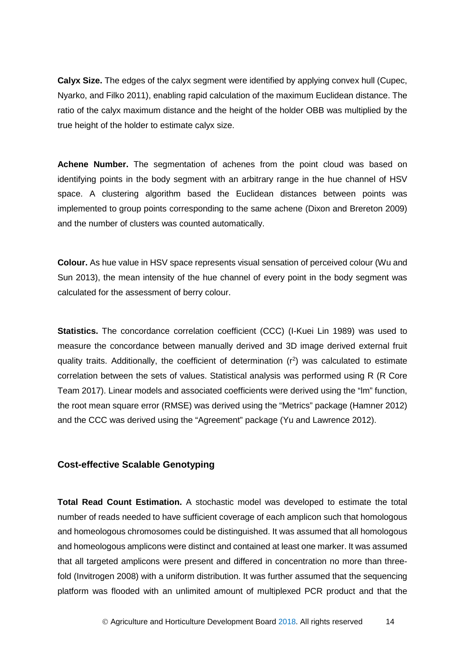**Calyx Size.** The edges of the calyx segment were identified by applying convex hull (Cupec, Nyarko, and Filko 2011), enabling rapid calculation of the maximum Euclidean distance. The ratio of the calyx maximum distance and the height of the holder OBB was multiplied by the true height of the holder to estimate calyx size.

**Achene Number.** The segmentation of achenes from the point cloud was based on identifying points in the body segment with an arbitrary range in the hue channel of HSV space. A clustering algorithm based the Euclidean distances between points was implemented to group points corresponding to the same achene (Dixon and Brereton 2009) and the number of clusters was counted automatically.

**Colour.** As hue value in HSV space represents visual sensation of perceived colour (Wu and Sun 2013), the mean intensity of the hue channel of every point in the body segment was calculated for the assessment of berry colour.

**Statistics.** The concordance correlation coefficient (CCC) (I-Kuei Lin 1989) was used to measure the concordance between manually derived and 3D image derived external fruit quality traits. Additionally, the coefficient of determination  $(r^2)$  was calculated to estimate correlation between the sets of values. Statistical analysis was performed using R (R Core Team 2017). Linear models and associated coefficients were derived using the "lm" function, the root mean square error (RMSE) was derived using the "Metrics" package (Hamner 2012) and the CCC was derived using the "Agreement" package (Yu and Lawrence 2012).

#### <span id="page-19-0"></span>**Cost-effective Scalable Genotyping**

**Total Read Count Estimation.** A stochastic model was developed to estimate the total number of reads needed to have sufficient coverage of each amplicon such that homologous and homeologous chromosomes could be distinguished. It was assumed that all homologous and homeologous amplicons were distinct and contained at least one marker. It was assumed that all targeted amplicons were present and differed in concentration no more than threefold (Invitrogen 2008) with a uniform distribution. It was further assumed that the sequencing platform was flooded with an unlimited amount of multiplexed PCR product and that the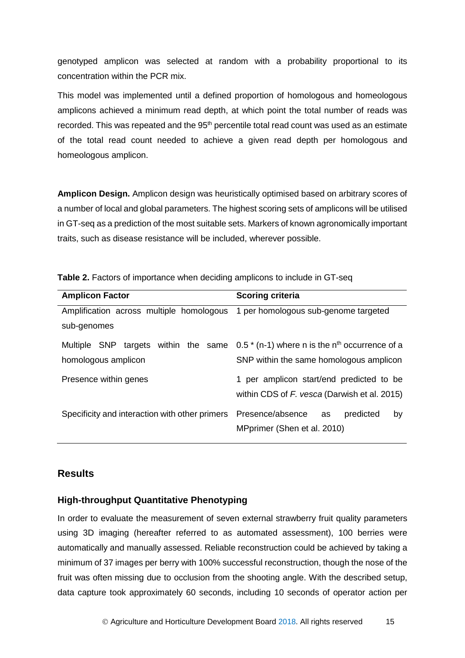genotyped amplicon was selected at random with a probability proportional to its concentration within the PCR mix.

This model was implemented until a defined proportion of homologous and homeologous amplicons achieved a minimum read depth, at which point the total number of reads was recorded. This was repeated and the 95<sup>th</sup> percentile total read count was used as an estimate of the total read count needed to achieve a given read depth per homologous and homeologous amplicon.

**Amplicon Design.** Amplicon design was heuristically optimised based on arbitrary scores of a number of local and global parameters. The highest scoring sets of amplicons will be utilised in GT-seq as a prediction of the most suitable sets. Markers of known agronomically important traits, such as disease resistance will be included, wherever possible.

| <b>Amplicon Factor</b>                                      | <b>Scoring criteria</b>                                                                                 |
|-------------------------------------------------------------|---------------------------------------------------------------------------------------------------------|
| Amplification across multiple homologous<br>sub-genomes     | 1 per homologous sub-genome targeted                                                                    |
| Multiple SNP targets within the same<br>homologous amplicon | $0.5$ * (n-1) where n is the n <sup>th</sup> occurrence of a<br>SNP within the same homologous amplicon |
| Presence within genes                                       | 1 per amplicon start/end predicted to be<br>within CDS of F. vesca (Darwish et al. 2015)                |
| Specificity and interaction with other primers              | Presence/absence<br>predicted<br>as<br>by<br>MPprimer (Shen et al. 2010)                                |

| Table 2. Factors of importance when deciding amplicons to include in GT-seq |  |  |
|-----------------------------------------------------------------------------|--|--|
|-----------------------------------------------------------------------------|--|--|

### <span id="page-20-0"></span>**Results**

### <span id="page-20-1"></span>**High-throughput Quantitative Phenotyping**

In order to evaluate the measurement of seven external strawberry fruit quality parameters using 3D imaging (hereafter referred to as automated assessment), 100 berries were automatically and manually assessed. Reliable reconstruction could be achieved by taking a minimum of 37 images per berry with 100% successful reconstruction, though the nose of the fruit was often missing due to occlusion from the shooting angle. With the described setup, data capture took approximately 60 seconds, including 10 seconds of operator action per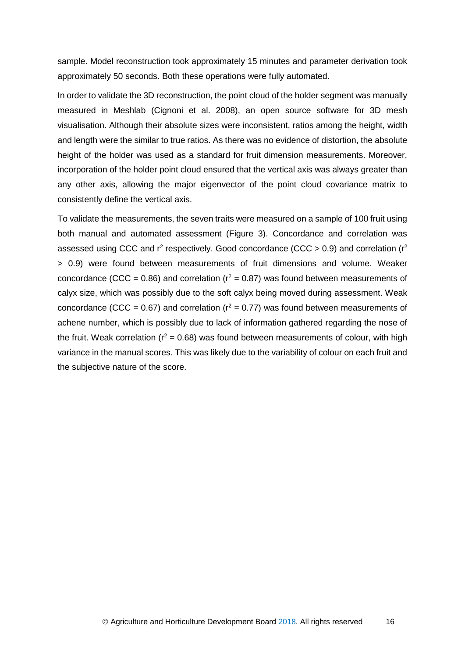sample. Model reconstruction took approximately 15 minutes and parameter derivation took approximately 50 seconds. Both these operations were fully automated.

In order to validate the 3D reconstruction, the point cloud of the holder segment was manually measured in Meshlab (Cignoni et al. 2008), an open source software for 3D mesh visualisation. Although their absolute sizes were inconsistent, ratios among the height, width and length were the similar to true ratios. As there was no evidence of distortion, the absolute height of the holder was used as a standard for fruit dimension measurements. Moreover, incorporation of the holder point cloud ensured that the vertical axis was always greater than any other axis, allowing the major eigenvector of the point cloud covariance matrix to consistently define the vertical axis.

To validate the measurements, the seven traits were measured on a sample of 100 fruit using both manual and automated assessment (Figure 3). Concordance and correlation was assessed using CCC and  $r^2$  respectively. Good concordance (CCC > 0.9) and correlation ( $r^2$ > 0.9) were found between measurements of fruit dimensions and volume. Weaker concordance (CCC = 0.86) and correlation ( $r^2$  = 0.87) was found between measurements of calyx size, which was possibly due to the soft calyx being moved during assessment. Weak concordance (CCC = 0.67) and correlation ( $r^2$  = 0.77) was found between measurements of achene number, which is possibly due to lack of information gathered regarding the nose of the fruit. Weak correlation ( $r^2 = 0.68$ ) was found between measurements of colour, with high variance in the manual scores. This was likely due to the variability of colour on each fruit and the subjective nature of the score.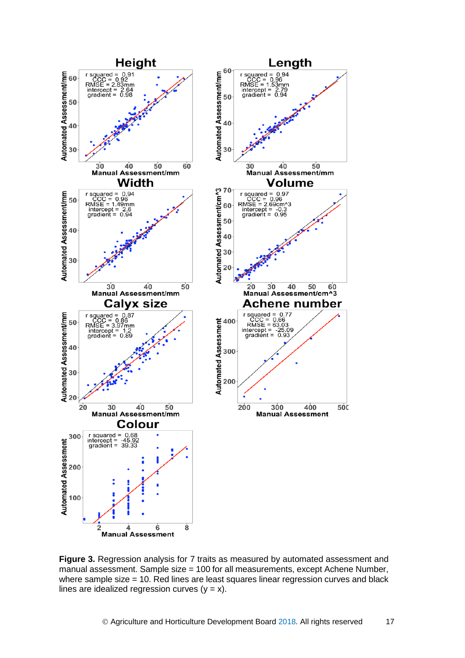

**Figure 3.** Regression analysis for 7 traits as measured by automated assessment and manual assessment. Sample size = 100 for all measurements, except Achene Number, where sample size = 10. Red lines are least squares linear regression curves and black lines are idealized regression curves  $(y = x)$ .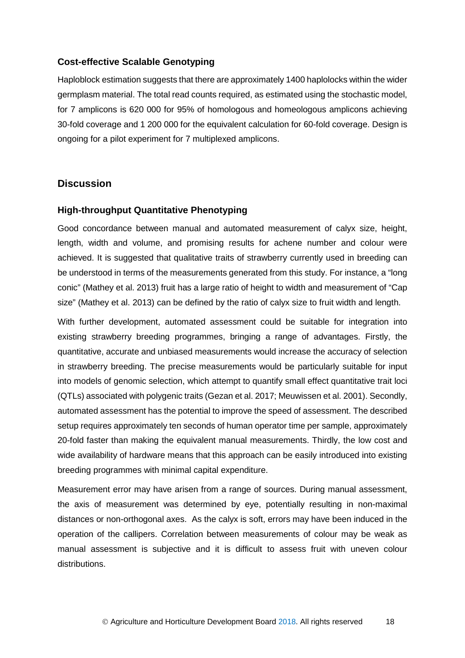#### <span id="page-23-0"></span>**Cost-effective Scalable Genotyping**

Haploblock estimation suggests that there are approximately 1400 haplolocks within the wider germplasm material. The total read counts required, as estimated using the stochastic model, for 7 amplicons is 620 000 for 95% of homologous and homeologous amplicons achieving 30-fold coverage and 1 200 000 for the equivalent calculation for 60-fold coverage. Design is ongoing for a pilot experiment for 7 multiplexed amplicons.

#### <span id="page-23-1"></span>**Discussion**

#### <span id="page-23-2"></span>**High-throughput Quantitative Phenotyping**

Good concordance between manual and automated measurement of calyx size, height, length, width and volume, and promising results for achene number and colour were achieved. It is suggested that qualitative traits of strawberry currently used in breeding can be understood in terms of the measurements generated from this study. For instance, a "long conic" (Mathey et al. 2013) fruit has a large ratio of height to width and measurement of "Cap size" (Mathey et al. 2013) can be defined by the ratio of calyx size to fruit width and length.

With further development, automated assessment could be suitable for integration into existing strawberry breeding programmes, bringing a range of advantages. Firstly, the quantitative, accurate and unbiased measurements would increase the accuracy of selection in strawberry breeding. The precise measurements would be particularly suitable for input into models of genomic selection, which attempt to quantify small effect quantitative trait loci (QTLs) associated with polygenic traits (Gezan et al. 2017; Meuwissen et al. 2001). Secondly, automated assessment has the potential to improve the speed of assessment. The described setup requires approximately ten seconds of human operator time per sample, approximately 20-fold faster than making the equivalent manual measurements. Thirdly, the low cost and wide availability of hardware means that this approach can be easily introduced into existing breeding programmes with minimal capital expenditure.

Measurement error may have arisen from a range of sources. During manual assessment, the axis of measurement was determined by eye, potentially resulting in non-maximal distances or non-orthogonal axes. As the calyx is soft, errors may have been induced in the operation of the callipers. Correlation between measurements of colour may be weak as manual assessment is subjective and it is difficult to assess fruit with uneven colour distributions.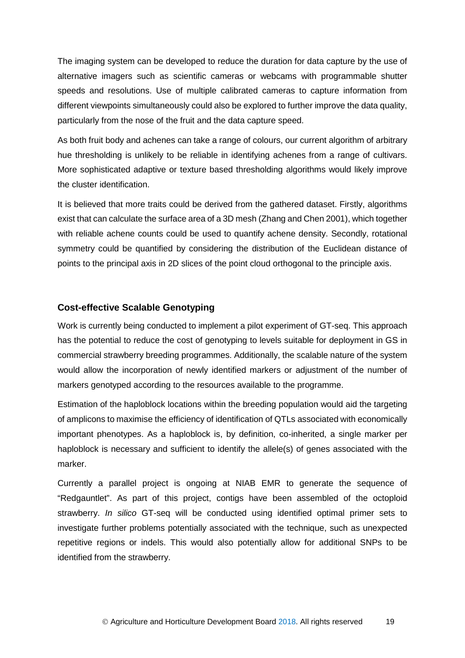The imaging system can be developed to reduce the duration for data capture by the use of alternative imagers such as scientific cameras or webcams with programmable shutter speeds and resolutions. Use of multiple calibrated cameras to capture information from different viewpoints simultaneously could also be explored to further improve the data quality, particularly from the nose of the fruit and the data capture speed.

As both fruit body and achenes can take a range of colours, our current algorithm of arbitrary hue thresholding is unlikely to be reliable in identifying achenes from a range of cultivars. More sophisticated adaptive or texture based thresholding algorithms would likely improve the cluster identification.

It is believed that more traits could be derived from the gathered dataset. Firstly, algorithms exist that can calculate the surface area of a 3D mesh (Zhang and Chen 2001), which together with reliable achene counts could be used to quantify achene density. Secondly, rotational symmetry could be quantified by considering the distribution of the Euclidean distance of points to the principal axis in 2D slices of the point cloud orthogonal to the principle axis.

#### <span id="page-24-0"></span>**Cost-effective Scalable Genotyping**

Work is currently being conducted to implement a pilot experiment of GT-seq. This approach has the potential to reduce the cost of genotyping to levels suitable for deployment in GS in commercial strawberry breeding programmes. Additionally, the scalable nature of the system would allow the incorporation of newly identified markers or adjustment of the number of markers genotyped according to the resources available to the programme.

Estimation of the haploblock locations within the breeding population would aid the targeting of amplicons to maximise the efficiency of identification of QTLs associated with economically important phenotypes. As a haploblock is, by definition, co-inherited, a single marker per haploblock is necessary and sufficient to identify the allele(s) of genes associated with the marker.

Currently a parallel project is ongoing at NIAB EMR to generate the sequence of "Redgauntlet". As part of this project, contigs have been assembled of the octoploid strawberry. *In silico* GT-seq will be conducted using identified optimal primer sets to investigate further problems potentially associated with the technique, such as unexpected repetitive regions or indels. This would also potentially allow for additional SNPs to be identified from the strawberry.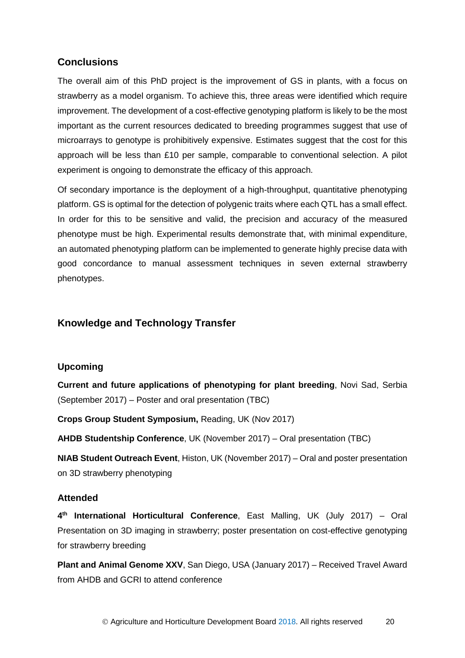# <span id="page-25-0"></span>**Conclusions**

The overall aim of this PhD project is the improvement of GS in plants, with a focus on strawberry as a model organism. To achieve this, three areas were identified which require improvement. The development of a cost-effective genotyping platform is likely to be the most important as the current resources dedicated to breeding programmes suggest that use of microarrays to genotype is prohibitively expensive. Estimates suggest that the cost for this approach will be less than £10 per sample, comparable to conventional selection. A pilot experiment is ongoing to demonstrate the efficacy of this approach.

Of secondary importance is the deployment of a high-throughput, quantitative phenotyping platform. GS is optimal for the detection of polygenic traits where each QTL has a small effect. In order for this to be sensitive and valid, the precision and accuracy of the measured phenotype must be high. Experimental results demonstrate that, with minimal expenditure, an automated phenotyping platform can be implemented to generate highly precise data with good concordance to manual assessment techniques in seven external strawberry phenotypes.

# <span id="page-25-1"></span>**Knowledge and Technology Transfer**

### <span id="page-25-2"></span>**Upcoming**

**Current and future applications of phenotyping for plant breeding**, Novi Sad, Serbia (September 2017) – Poster and oral presentation (TBC)

**Crops Group Student Symposium,** Reading, UK (Nov 2017)

**AHDB Studentship Conference**, UK (November 2017) – Oral presentation (TBC)

**NIAB Student Outreach Event**, Histon, UK (November 2017) – Oral and poster presentation on 3D strawberry phenotyping

### <span id="page-25-3"></span>**Attended**

**4th International Horticultural Conference**, East Malling, UK (July 2017) – Oral Presentation on 3D imaging in strawberry; poster presentation on cost-effective genotyping for strawberry breeding

**Plant and Animal Genome XXV**, San Diego, USA (January 2017) – Received Travel Award from AHDB and GCRI to attend conference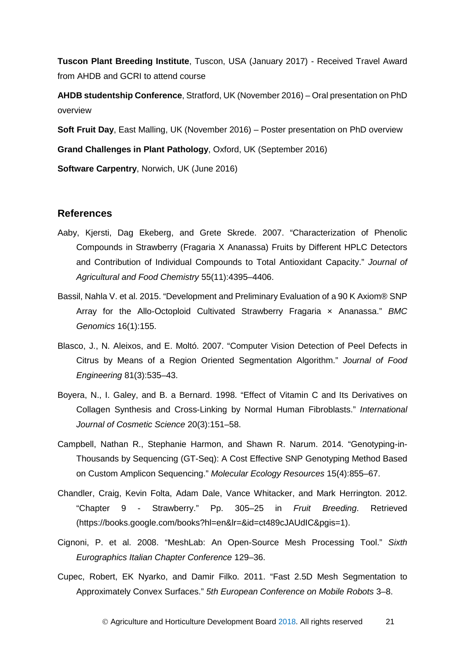**Tuscon Plant Breeding Institute**, Tuscon, USA (January 2017) - Received Travel Award from AHDB and GCRI to attend course

**AHDB studentship Conference**, Stratford, UK (November 2016) – Oral presentation on PhD overview

**Soft Fruit Day**, East Malling, UK (November 2016) – Poster presentation on PhD overview

**Grand Challenges in Plant Pathology**, Oxford, UK (September 2016)

**Software Carpentry**, Norwich, UK (June 2016)

#### <span id="page-26-0"></span>**References**

- Aaby, Kjersti, Dag Ekeberg, and Grete Skrede. 2007. "Characterization of Phenolic Compounds in Strawberry (Fragaria X Ananassa) Fruits by Different HPLC Detectors and Contribution of Individual Compounds to Total Antioxidant Capacity." *Journal of Agricultural and Food Chemistry* 55(11):4395–4406.
- Bassil, Nahla V. et al. 2015. "Development and Preliminary Evaluation of a 90 K Axiom® SNP Array for the Allo-Octoploid Cultivated Strawberry Fragaria × Ananassa." *BMC Genomics* 16(1):155.
- Blasco, J., N. Aleixos, and E. Moltó. 2007. "Computer Vision Detection of Peel Defects in Citrus by Means of a Region Oriented Segmentation Algorithm." *Journal of Food Engineering* 81(3):535–43.
- Boyera, N., I. Galey, and B. a Bernard. 1998. "Effect of Vitamin C and Its Derivatives on Collagen Synthesis and Cross-Linking by Normal Human Fibroblasts." *International Journal of Cosmetic Science* 20(3):151–58.
- Campbell, Nathan R., Stephanie Harmon, and Shawn R. Narum. 2014. "Genotyping-in-Thousands by Sequencing (GT-Seq): A Cost Effective SNP Genotyping Method Based on Custom Amplicon Sequencing." *Molecular Ecology Resources* 15(4):855–67.
- Chandler, Craig, Kevin Folta, Adam Dale, Vance Whitacker, and Mark Herrington. 2012. "Chapter 9 - Strawberry." Pp. 305–25 in *Fruit Breeding*. Retrieved (https://books.google.com/books?hl=en&lr=&id=ct489cJAUdIC&pgis=1).
- Cignoni, P. et al. 2008. "MeshLab: An Open-Source Mesh Processing Tool." *Sixth Eurographics Italian Chapter Conference* 129–36.
- Cupec, Robert, EK Nyarko, and Damir Filko. 2011. "Fast 2.5D Mesh Segmentation to Approximately Convex Surfaces." *5th European Conference on Mobile Robots* 3–8.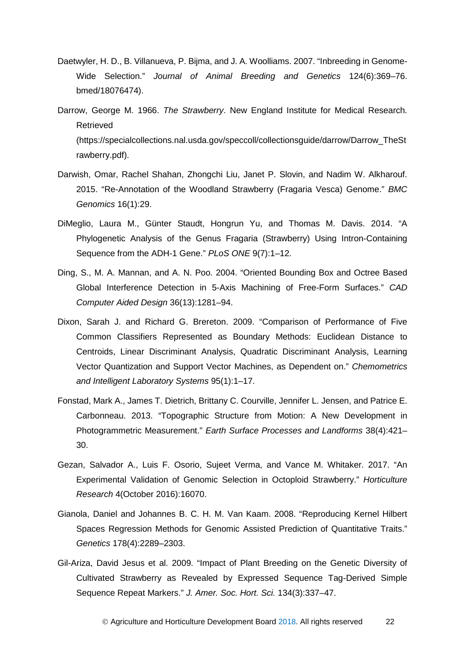- Daetwyler, H. D., B. Villanueva, P. Bijma, and J. A. Woolliams. 2007. "Inbreeding in Genome-Wide Selection." *Journal of Animal Breeding and Genetics* 124(6):369–76. bmed/18076474).
- Darrow, George M. 1966. *The Strawberry*. New England Institute for Medical Research. Retrieved (https://specialcollections.nal.usda.gov/speccoll/collectionsguide/darrow/Darrow\_TheSt rawberry.pdf).
- Darwish, Omar, Rachel Shahan, Zhongchi Liu, Janet P. Slovin, and Nadim W. Alkharouf. 2015. "Re-Annotation of the Woodland Strawberry (Fragaria Vesca) Genome." *BMC Genomics* 16(1):29.
- DiMeglio, Laura M., Günter Staudt, Hongrun Yu, and Thomas M. Davis. 2014. "A Phylogenetic Analysis of the Genus Fragaria (Strawberry) Using Intron-Containing Sequence from the ADH-1 Gene." *PLoS ONE* 9(7):1–12.
- Ding, S., M. A. Mannan, and A. N. Poo. 2004. "Oriented Bounding Box and Octree Based Global Interference Detection in 5-Axis Machining of Free-Form Surfaces." *CAD Computer Aided Design* 36(13):1281–94.
- Dixon, Sarah J. and Richard G. Brereton. 2009. "Comparison of Performance of Five Common Classifiers Represented as Boundary Methods: Euclidean Distance to Centroids, Linear Discriminant Analysis, Quadratic Discriminant Analysis, Learning Vector Quantization and Support Vector Machines, as Dependent on." *Chemometrics and Intelligent Laboratory Systems* 95(1):1–17.
- Fonstad, Mark A., James T. Dietrich, Brittany C. Courville, Jennifer L. Jensen, and Patrice E. Carbonneau. 2013. "Topographic Structure from Motion: A New Development in Photogrammetric Measurement." *Earth Surface Processes and Landforms* 38(4):421– 30.
- Gezan, Salvador A., Luis F. Osorio, Sujeet Verma, and Vance M. Whitaker. 2017. "An Experimental Validation of Genomic Selection in Octoploid Strawberry." *Horticulture Research* 4(October 2016):16070.
- Gianola, Daniel and Johannes B. C. H. M. Van Kaam. 2008. "Reproducing Kernel Hilbert Spaces Regression Methods for Genomic Assisted Prediction of Quantitative Traits." *Genetics* 178(4):2289–2303.
- Gil-Ariza, David Jesus et al. 2009. "Impact of Plant Breeding on the Genetic Diversity of Cultivated Strawberry as Revealed by Expressed Sequence Tag-Derived Simple Sequence Repeat Markers." *J. Amer. Soc. Hort. Sci.* 134(3):337–47.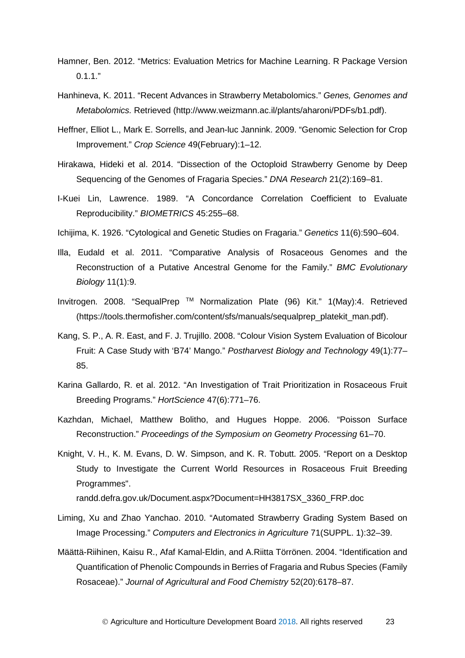- Hamner, Ben. 2012. "Metrics: Evaluation Metrics for Machine Learning. R Package Version  $0.1.1."$
- Hanhineva, K. 2011. "Recent Advances in Strawberry Metabolomics." *Genes, Genomes and Metabolomics.* Retrieved (http://www.weizmann.ac.il/plants/aharoni/PDFs/b1.pdf).
- Heffner, Elliot L., Mark E. Sorrells, and Jean-luc Jannink. 2009. "Genomic Selection for Crop Improvement." *Crop Science* 49(February):1–12.
- Hirakawa, Hideki et al. 2014. "Dissection of the Octoploid Strawberry Genome by Deep Sequencing of the Genomes of Fragaria Species." *DNA Research* 21(2):169–81.
- I-Kuei Lin, Lawrence. 1989. "A Concordance Correlation Coefficient to Evaluate Reproducibility." *BIOMETRICS* 45:255–68.
- Ichijima, K. 1926. "Cytological and Genetic Studies on Fragaria." *Genetics* 11(6):590–604.
- Illa, Eudald et al. 2011. "Comparative Analysis of Rosaceous Genomes and the Reconstruction of a Putative Ancestral Genome for the Family." *BMC Evolutionary Biology* 11(1):9.
- Invitrogen. 2008. "SequalPrep TM Normalization Plate (96) Kit." 1(May):4. Retrieved (https://tools.thermofisher.com/content/sfs/manuals/sequalprep\_platekit\_man.pdf).
- Kang, S. P., A. R. East, and F. J. Trujillo. 2008. "Colour Vision System Evaluation of Bicolour Fruit: A Case Study with 'B74' Mango." *Postharvest Biology and Technology* 49(1):77– 85.
- Karina Gallardo, R. et al. 2012. "An Investigation of Trait Prioritization in Rosaceous Fruit Breeding Programs." *HortScience* 47(6):771–76.
- Kazhdan, Michael, Matthew Bolitho, and Hugues Hoppe. 2006. "Poisson Surface Reconstruction." *Proceedings of the Symposium on Geometry Processing* 61–70.
- Knight, V. H., K. M. Evans, D. W. Simpson, and K. R. Tobutt. 2005. "Report on a Desktop Study to Investigate the Current World Resources in Rosaceous Fruit Breeding Programmes".

randd.defra.gov.uk/Document.aspx?Document=HH3817SX\_3360\_FRP.doc

- Liming, Xu and Zhao Yanchao. 2010. "Automated Strawberry Grading System Based on Image Processing." *Computers and Electronics in Agriculture* 71(SUPPL. 1):32–39.
- Määttä-Riihinen, Kaisu R., Afaf Kamal-Eldin, and A.Riitta Törrönen. 2004. "Identification and Quantification of Phenolic Compounds in Berries of Fragaria and Rubus Species (Family Rosaceae)." *Journal of Agricultural and Food Chemistry* 52(20):6178–87.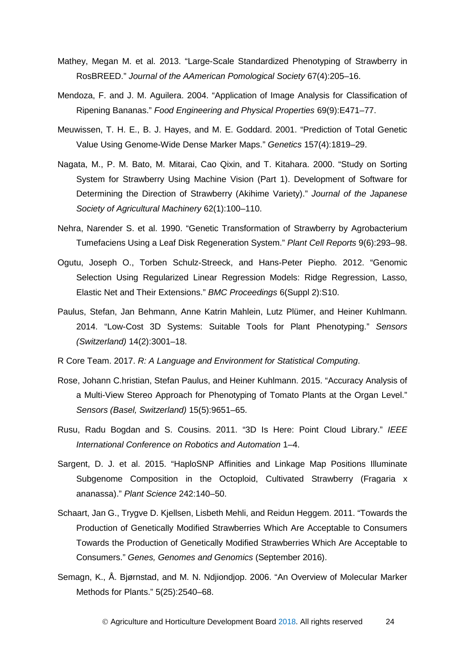- Mathey, Megan M. et al. 2013. "Large-Scale Standardized Phenotyping of Strawberry in RosBREED." *Journal of the AAmerican Pomological Society* 67(4):205–16.
- Mendoza, F. and J. M. Aguilera. 2004. "Application of Image Analysis for Classification of Ripening Bananas." *Food Engineering and Physical Properties* 69(9):E471–77.
- Meuwissen, T. H. E., B. J. Hayes, and M. E. Goddard. 2001. "Prediction of Total Genetic Value Using Genome-Wide Dense Marker Maps." *Genetics* 157(4):1819–29.
- Nagata, M., P. M. Bato, M. Mitarai, Cao Qixin, and T. Kitahara. 2000. "Study on Sorting System for Strawberry Using Machine Vision (Part 1). Development of Software for Determining the Direction of Strawberry (Akihime Variety)." *Journal of the Japanese Society of Agricultural Machinery* 62(1):100–110.
- Nehra, Narender S. et al. 1990. "Genetic Transformation of Strawberry by Agrobacterium Tumefaciens Using a Leaf Disk Regeneration System." *Plant Cell Reports* 9(6):293–98.
- Ogutu, Joseph O., Torben Schulz-Streeck, and Hans-Peter Piepho. 2012. "Genomic Selection Using Regularized Linear Regression Models: Ridge Regression, Lasso, Elastic Net and Their Extensions." *BMC Proceedings* 6(Suppl 2):S10.
- Paulus, Stefan, Jan Behmann, Anne Katrin Mahlein, Lutz Plümer, and Heiner Kuhlmann. 2014. "Low-Cost 3D Systems: Suitable Tools for Plant Phenotyping." *Sensors (Switzerland)* 14(2):3001–18.
- R Core Team. 2017. *R: A Language and Environment for Statistical Computing*.
- Rose, Johann C.hristian, Stefan Paulus, and Heiner Kuhlmann. 2015. "Accuracy Analysis of a Multi-View Stereo Approach for Phenotyping of Tomato Plants at the Organ Level." *Sensors (Basel, Switzerland)* 15(5):9651–65.
- Rusu, Radu Bogdan and S. Cousins. 2011. "3D Is Here: Point Cloud Library." *IEEE International Conference on Robotics and Automation* 1–4.
- Sargent, D. J. et al. 2015. "HaploSNP Affinities and Linkage Map Positions Illuminate Subgenome Composition in the Octoploid, Cultivated Strawberry (Fragaria x ananassa)." *Plant Science* 242:140–50.
- Schaart, Jan G., Trygve D. Kjellsen, Lisbeth Mehli, and Reidun Heggem. 2011. "Towards the Production of Genetically Modified Strawberries Which Are Acceptable to Consumers Towards the Production of Genetically Modified Strawberries Which Are Acceptable to Consumers." *Genes, Genomes and Genomics* (September 2016).
- Semagn, K., Å. Bjørnstad, and M. N. Ndjiondjop. 2006. "An Overview of Molecular Marker Methods for Plants." 5(25):2540–68.